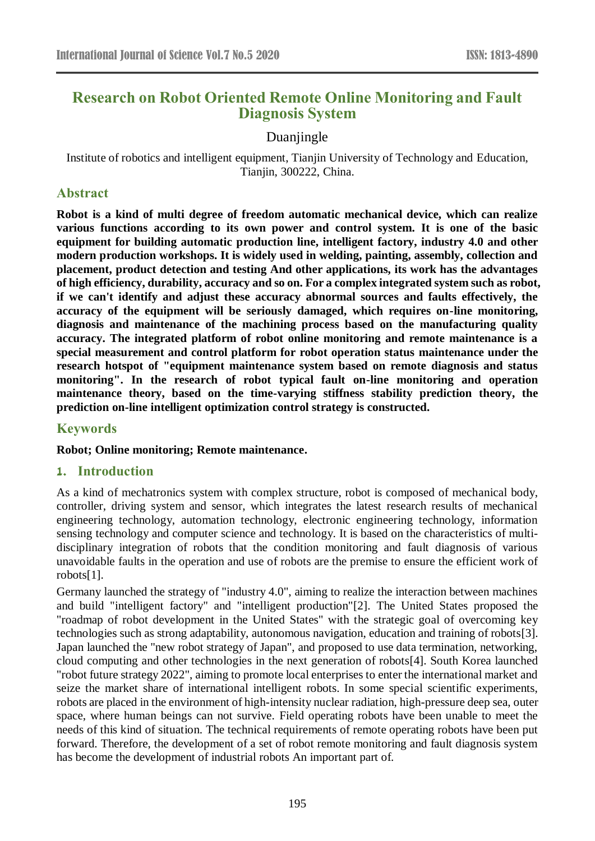# **Research on Robot Oriented Remote Online Monitoring and Fault Diagnosis System**

### Duaniingle

Institute of robotics and intelligent equipment, Tianjin University of Technology and Education, Tianjin, 300222, China.

#### **Abstract**

**Robot is a kind of multi degree of freedom automatic mechanical device, which can realize various functions according to its own power and control system. It is one of the basic equipment for building automatic production line, intelligent factory, industry 4.0 and other modern production workshops. It is widely used in welding, painting, assembly, collection and placement, product detection and testing And other applications, its work has the advantages of high efficiency, durability, accuracy and so on. For a complex integrated system such as robot, if we can't identify and adjust these accuracy abnormal sources and faults effectively, the accuracy of the equipment will be seriously damaged, which requires on-line monitoring, diagnosis and maintenance of the machining process based on the manufacturing quality accuracy. The integrated platform of robot online monitoring and remote maintenance is a special measurement and control platform for robot operation status maintenance under the research hotspot of "equipment maintenance system based on remote diagnosis and status monitoring". In the research of robot typical fault on-line monitoring and operation maintenance theory, based on the time-varying stiffness stability prediction theory, the prediction on-line intelligent optimization control strategy is constructed.**

#### **Keywords**

#### **Robot; Online monitoring; Remote maintenance.**

#### **1. Introduction**

As a kind of mechatronics system with complex structure, robot is composed of mechanical body, controller, driving system and sensor, which integrates the latest research results of mechanical engineering technology, automation technology, electronic engineering technology, information sensing technology and computer science and technology. It is based on the characteristics of multidisciplinary integration of robots that the condition monitoring and fault diagnosis of various unavoidable faults in the operation and use of robots are the premise to ensure the efficient work of robots[1].

Germany launched the strategy of "industry 4.0", aiming to realize the interaction between machines and build "intelligent factory" and "intelligent production"[2]. The United States proposed the "roadmap of robot development in the United States" with the strategic goal of overcoming key technologies such as strong adaptability, autonomous navigation, education and training of robots[3]. Japan launched the "new robot strategy of Japan", and proposed to use data termination, networking, cloud computing and other technologies in the next generation of robots[4]. South Korea launched "robot future strategy 2022", aiming to promote local enterprises to enter the international market and seize the market share of international intelligent robots. In some special scientific experiments, robots are placed in the environment of high-intensity nuclear radiation, high-pressure deep sea, outer space, where human beings can not survive. Field operating robots have been unable to meet the needs of this kind of situation. The technical requirements of remote operating robots have been put forward. Therefore, the development of a set of robot remote monitoring and fault diagnosis system has become the development of industrial robots An important part of.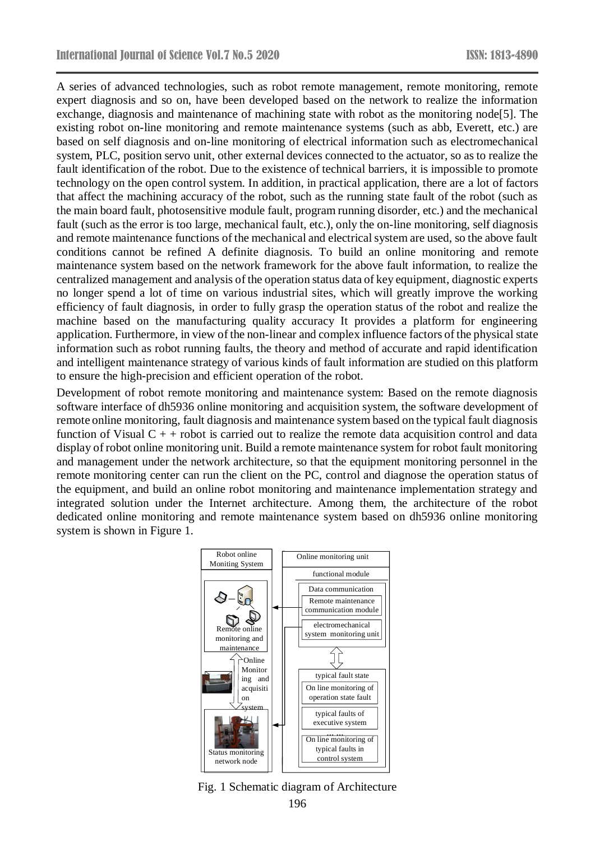A series of advanced technologies, such as robot remote management, remote monitoring, remote expert diagnosis and so on, have been developed based on the network to realize the information exchange, diagnosis and maintenance of machining state with robot as the monitoring node[5]. The existing robot on-line monitoring and remote maintenance systems (such as abb, Everett, etc.) are based on self diagnosis and on-line monitoring of electrical information such as electromechanical system, PLC, position servo unit, other external devices connected to the actuator, so as to realize the fault identification of the robot. Due to the existence of technical barriers, it is impossible to promote technology on the open control system. In addition, in practical application, there are a lot of factors that affect the machining accuracy of the robot, such as the running state fault of the robot (such as the main board fault, photosensitive module fault, program running disorder, etc.) and the mechanical fault (such as the error is too large, mechanical fault, etc.), only the on-line monitoring, self diagnosis and remote maintenance functions of the mechanical and electrical system are used, so the above fault conditions cannot be refined A definite diagnosis. To build an online monitoring and remote maintenance system based on the network framework for the above fault information, to realize the centralized management and analysis of the operation status data of key equipment, diagnostic experts no longer spend a lot of time on various industrial sites, which will greatly improve the working efficiency of fault diagnosis, in order to fully grasp the operation status of the robot and realize the machine based on the manufacturing quality accuracy It provides a platform for engineering application. Furthermore, in view of the non-linear and complex influence factors of the physical state information such as robot running faults, the theory and method of accurate and rapid identification and intelligent maintenance strategy of various kinds of fault information are studied on this platform to ensure the high-precision and efficient operation of the robot.

Development of robot remote monitoring and maintenance system: Based on the remote diagnosis software interface of dh5936 online monitoring and acquisition system, the software development of remote online monitoring, fault diagnosis and maintenance system based on the typical fault diagnosis function of Visual  $C + +$  robot is carried out to realize the remote data acquisition control and data display of robot online monitoring unit. Build a remote maintenance system for robot fault monitoring and management under the network architecture, so that the equipment monitoring personnel in the remote monitoring center can run the client on the PC, control and diagnose the operation status of the equipment, and build an online robot monitoring and maintenance implementation strategy and integrated solution under the Internet architecture. Among them, the architecture of the robot dedicated online monitoring and remote maintenance system based on dh5936 online monitoring system is shown in Figure 1.



196 Fig. 1 Schematic diagram of Architecture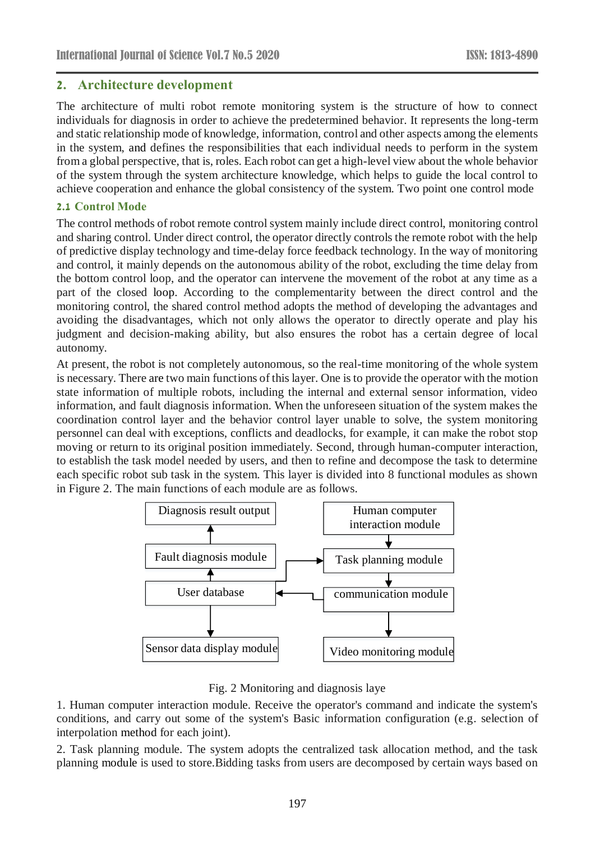### **2. Architecture development**

The architecture of multi robot remote monitoring system is the structure of how to connect individuals for diagnosis in order to achieve the predetermined behavior. It represents the long-term and static relationship mode of knowledge, information, control and other aspects among the elements in the system, and defines the responsibilities that each individual needs to perform in the system from a global perspective, that is, roles. Each robot can get a high-level view about the whole behavior of the system through the system architecture knowledge, which helps to guide the local control to achieve cooperation and enhance the global consistency of the system. Two point one control mode

#### **2.1 Control Mode**

The control methods of robot remote control system mainly include direct control, monitoring control and sharing control. Under direct control, the operator directly controls the remote robot with the help of predictive display technology and time-delay force feedback technology. In the way of monitoring and control, it mainly depends on the autonomous ability of the robot, excluding the time delay from the bottom control loop, and the operator can intervene the movement of the robot at any time as a part of the closed loop. According to the complementarity between the direct control and the monitoring control, the shared control method adopts the method of developing the advantages and avoiding the disadvantages, which not only allows the operator to directly operate and play his judgment and decision-making ability, but also ensures the robot has a certain degree of local autonomy.

At present, the robot is not completely autonomous, so the real-time monitoring of the whole system is necessary. There are two main functions of this layer. One is to provide the operator with the motion state information of multiple robots, including the internal and external sensor information, video information, and fault diagnosis information. When the unforeseen situation of the system makes the coordination control layer and the behavior control layer unable to solve, the system monitoring personnel can deal with exceptions, conflicts and deadlocks, for example, it can make the robot stop moving or return to its original position immediately. Second, through human-computer interaction, to establish the task model needed by users, and then to refine and decompose the task to determine each specific robot sub task in the system. This layer is divided into 8 functional modules as shown in Figure 2. The main functions of each module are as follows.



Fig. 2 Monitoring and diagnosis laye

1. Human computer interaction module. Receive the operator's command and indicate the system's conditions, and carry out some of the system's Basic information configuration (e.g. selection of interpolation method for each joint).

2. Task planning module. The system adopts the centralized task allocation method, and the task planning module is used to store.Bidding tasks from users are decomposed by certain ways based on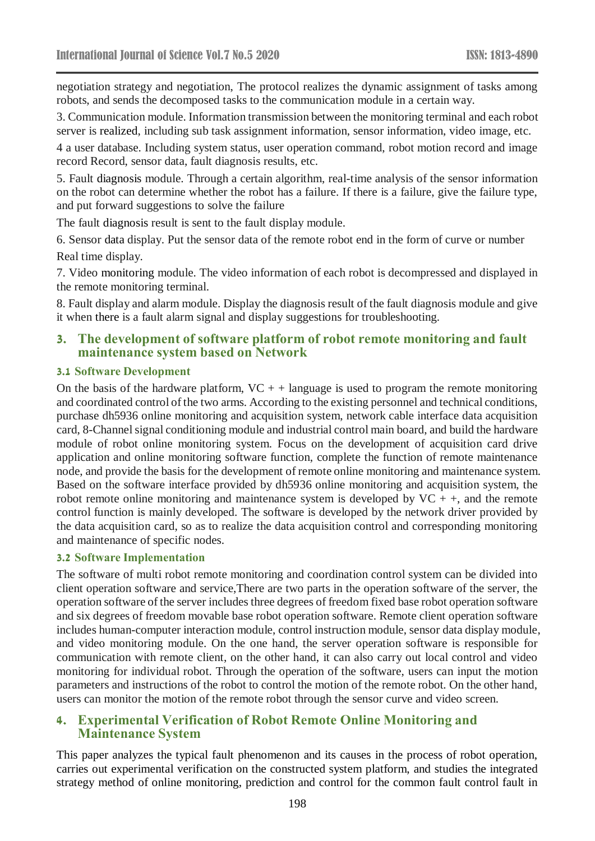negotiation strategy and negotiation, The protocol realizes the dynamic assignment of tasks among robots, and sends the decomposed tasks to the communication module in a certain way.

3. Communication module. Information transmission between the monitoring terminal and each robot server is realized, including sub task assignment information, sensor information, video image, etc.

4 a user database. Including system status, user operation command, robot motion record and image record Record, sensor data, fault diagnosis results, etc.

5. Fault diagnosis module. Through a certain algorithm, real-time analysis of the sensor information on the robot can determine whether the robot has a failure. If there is a failure, give the failure type, and put forward suggestions to solve the failure

The fault diagnosis result is sent to the fault display module.

6. Sensor data display. Put the sensor data of the remote robot end in the form of curve or number Real time display.

7. Video monitoring module. The video information of each robot is decompressed and displayed in the remote monitoring terminal.

8. Fault display and alarm module. Display the diagnosis result of the fault diagnosis module and give it when there is a fault alarm signal and display suggestions for troubleshooting.

#### **3. The development of software platform of robot remote monitoring and fault maintenance system based on Network**

#### **3.1 Software Development**

On the basis of the hardware platform,  $VC +$  + language is used to program the remote monitoring and coordinated control of the two arms. According to the existing personnel and technical conditions, purchase dh5936 online monitoring and acquisition system, network cable interface data acquisition card, 8-Channel signal conditioning module and industrial control main board, and build the hardware module of robot online monitoring system. Focus on the development of acquisition card drive application and online monitoring software function, complete the function of remote maintenance node, and provide the basis for the development of remote online monitoring and maintenance system. Based on the software interface provided by dh5936 online monitoring and acquisition system, the robot remote online monitoring and maintenance system is developed by  $VC + +$ , and the remote control function is mainly developed. The software is developed by the network driver provided by the data acquisition card, so as to realize the data acquisition control and corresponding monitoring and maintenance of specific nodes.

#### **3.2 Software Implementation**

The software of multi robot remote monitoring and coordination control system can be divided into client operation software and service,There are two parts in the operation software of the server, the operation software of the server includes three degrees of freedom fixed base robot operation software and six degrees of freedom movable base robot operation software. Remote client operation software includes human-computer interaction module, control instruction module, sensor data display module, and video monitoring module. On the one hand, the server operation software is responsible for communication with remote client, on the other hand, it can also carry out local control and video monitoring for individual robot. Through the operation of the software, users can input the motion parameters and instructions of the robot to control the motion of the remote robot. On the other hand, users can monitor the motion of the remote robot through the sensor curve and video screen.

#### **4. Experimental Verification of Robot Remote Online Monitoring and Maintenance System**

This paper analyzes the typical fault phenomenon and its causes in the process of robot operation, carries out experimental verification on the constructed system platform, and studies the integrated strategy method of online monitoring, prediction and control for the common fault control fault in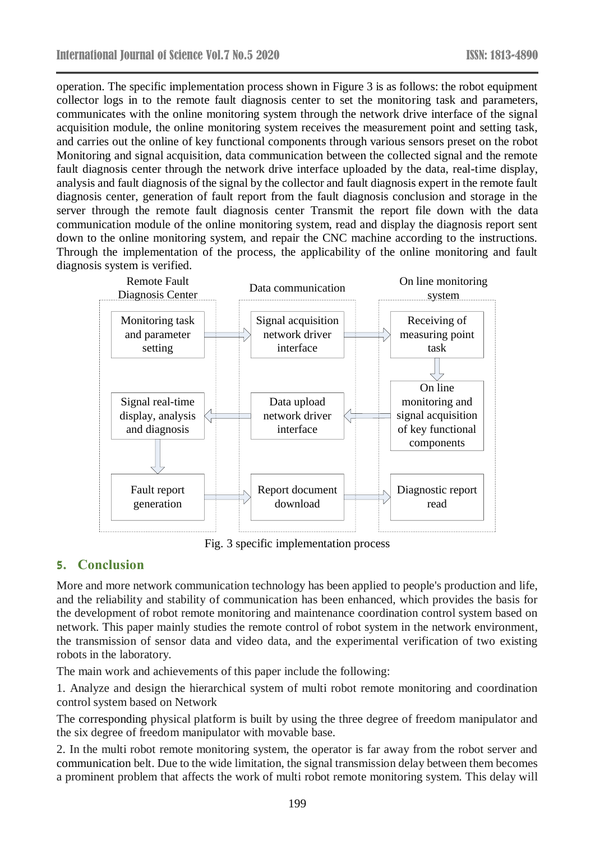operation. The specific implementation process shown in Figure 3 is as follows: the robot equipment collector logs in to the remote fault diagnosis center to set the monitoring task and parameters, communicates with the online monitoring system through the network drive interface of the signal acquisition module, the online monitoring system receives the measurement point and setting task, and carries out the online of key functional components through various sensors preset on the robot Monitoring and signal acquisition, data communication between the collected signal and the remote fault diagnosis center through the network drive interface uploaded by the data, real-time display, analysis and fault diagnosis of the signal by the collector and fault diagnosis expert in the remote fault diagnosis center, generation of fault report from the fault diagnosis conclusion and storage in the server through the remote fault diagnosis center Transmit the report file down with the data communication module of the online monitoring system, read and display the diagnosis report sent down to the online monitoring system, and repair the CNC machine according to the instructions. Through the implementation of the process, the applicability of the online monitoring and fault diagnosis system is verified.



Fig. 3 specific implementation process

### **5. Conclusion**

More and more network communication technology has been applied to people's production and life, and the reliability and stability of communication has been enhanced, which provides the basis for the development of robot remote monitoring and maintenance coordination control system based on network. This paper mainly studies the remote control of robot system in the network environment, the transmission of sensor data and video data, and the experimental verification of two existing robots in the laboratory.

The main work and achievements of this paper include the following:

1. Analyze and design the hierarchical system of multi robot remote monitoring and coordination control system based on Network

The corresponding physical platform is built by using the three degree of freedom manipulator and the six degree of freedom manipulator with movable base.

2. In the multi robot remote monitoring system, the operator is far away from the robot server and communication belt. Due to the wide limitation, the signal transmission delay between them becomes a prominent problem that affects the work of multi robot remote monitoring system. This delay will